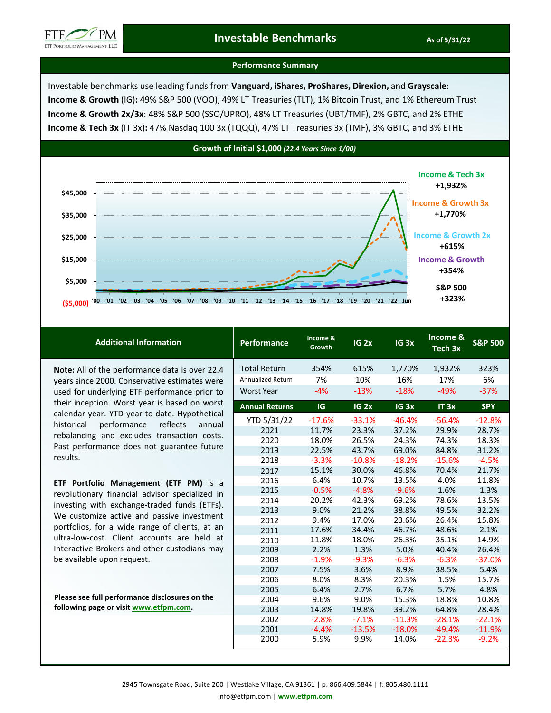

# **Investable Benchmarks As of 5/31/22 As of 5/31/22**

## **Performance Summary**

Investable benchmarks use leading funds from **Vanguard, iShares, ProShares, Direxion,** and **Grayscale**: **Income & Growth** (IG)**:** 49% S&P 500 (VOO), 49% LT Treasuries (TLT), 1% Bitcoin Trust, and 1% Ethereum Trust **Income & Growth 2x/3x**: 48% S&P 500 (SSO/UPRO), 48% LT Treasuries (UBT/TMF), 2% GBTC, and 2% ETHE **Income & Tech 3x** (IT 3x)**:** 47% Nasdaq 100 3x (TQQQ), 47% LT Treasuries 3x (TMF), 3% GBTC, and 3% ETHE



| <b>Additional Information</b>                                                                                                                                                                                                                                                                                                                                                                                 | Performance           | Income &<br>Growth | $IG$ $2x$        | IG <sub>3x</sub> | Income &<br>Tech 3x | <b>S&amp;P 500</b> |
|---------------------------------------------------------------------------------------------------------------------------------------------------------------------------------------------------------------------------------------------------------------------------------------------------------------------------------------------------------------------------------------------------------------|-----------------------|--------------------|------------------|------------------|---------------------|--------------------|
| Note: All of the performance data is over 22.4<br>years since 2000. Conservative estimates were<br>used for underlying ETF performance prior to<br>their inception. Worst year is based on worst<br>calendar year. YTD year-to-date. Hypothetical<br>performance<br>reflects<br>historical<br>annual<br>rebalancing and excludes transaction costs.<br>Past performance does not guarantee future<br>results. | <b>Total Return</b>   | 354%               | 615%             | 1,770%           | 1,932%              | 323%               |
|                                                                                                                                                                                                                                                                                                                                                                                                               | Annualized Return     | 7%                 | 10%              | 16%              | 17%                 | 6%                 |
|                                                                                                                                                                                                                                                                                                                                                                                                               | <b>Worst Year</b>     | $-4%$              | $-13%$           | $-18%$           | $-49%$              | $-37%$             |
|                                                                                                                                                                                                                                                                                                                                                                                                               | <b>Annual Returns</b> | IG                 | IG <sub>2x</sub> | IG <sub>3x</sub> | IT 3x               | <b>SPY</b>         |
|                                                                                                                                                                                                                                                                                                                                                                                                               | YTD 5/31/22           | $-17.6%$           | $-33.1%$         | $-46.4%$         | $-56.4%$            | $-12.8%$           |
|                                                                                                                                                                                                                                                                                                                                                                                                               | 2021                  | 11.7%              | 23.3%            | 37.2%            | 29.9%               | 28.7%              |
|                                                                                                                                                                                                                                                                                                                                                                                                               | 2020                  | 18.0%              | 26.5%            | 24.3%            | 74.3%               | 18.3%              |
|                                                                                                                                                                                                                                                                                                                                                                                                               | 2019                  | 22.5%              | 43.7%            | 69.0%            | 84.8%               | 31.2%              |
|                                                                                                                                                                                                                                                                                                                                                                                                               | 2018                  | $-3.3%$            | $-10.8%$         | $-18.2%$         | $-15.6%$            | $-4.5%$            |
|                                                                                                                                                                                                                                                                                                                                                                                                               | 2017                  | 15.1%              | 30.0%            | 46.8%            | 70.4%               | 21.7%              |
| <b>ETF Portfolio Management (ETF PM)</b> is a<br>revolutionary financial advisor specialized in<br>investing with exchange-traded funds (ETFs).<br>We customize active and passive investment<br>portfolios, for a wide range of clients, at an<br>ultra-low-cost. Client accounts are held at<br>Interactive Brokers and other custodians may                                                                | 2016                  | 6.4%               | 10.7%            | 13.5%            | 4.0%                | 11.8%              |
|                                                                                                                                                                                                                                                                                                                                                                                                               | 2015                  | $-0.5%$            | $-4.8%$          | $-9.6%$          | 1.6%                | 1.3%               |
|                                                                                                                                                                                                                                                                                                                                                                                                               | 2014                  | 20.2%              | 42.3%            | 69.2%            | 78.6%               | 13.5%              |
|                                                                                                                                                                                                                                                                                                                                                                                                               | 2013                  | 9.0%               | 21.2%            | 38.8%            | 49.5%               | 32.2%              |
|                                                                                                                                                                                                                                                                                                                                                                                                               | 2012                  | 9.4%               | 17.0%            | 23.6%            | 26.4%               | 15.8%              |
|                                                                                                                                                                                                                                                                                                                                                                                                               | 2011                  | 17.6%              | 34.4%            | 46.7%            | 48.6%               | 2.1%               |
|                                                                                                                                                                                                                                                                                                                                                                                                               | 2010                  | 11.8%              | 18.0%            | 26.3%            | 35.1%               | 14.9%              |
|                                                                                                                                                                                                                                                                                                                                                                                                               | 2009                  | 2.2%               | 1.3%             | 5.0%             | 40.4%               | 26.4%              |
| be available upon request.                                                                                                                                                                                                                                                                                                                                                                                    | 2008                  | $-1.9%$            | $-9.3%$          | $-6.3%$          | $-6.3%$             | $-37.0%$           |
|                                                                                                                                                                                                                                                                                                                                                                                                               | 2007                  | 7.5%               | 3.6%             | 8.9%             | 38.5%               | 5.4%               |
|                                                                                                                                                                                                                                                                                                                                                                                                               | 2006                  | 8.0%               | 8.3%             | 20.3%            | 1.5%                | 15.7%              |
|                                                                                                                                                                                                                                                                                                                                                                                                               | 2005                  | 6.4%               | 2.7%             | 6.7%             | 5.7%                | 4.8%               |
| Please see full performance disclosures on the                                                                                                                                                                                                                                                                                                                                                                | 2004                  | 9.6%               | 9.0%             | 15.3%            | 18.8%               | 10.8%              |
| following page or visit www.etfpm.com.                                                                                                                                                                                                                                                                                                                                                                        | 2003                  | 14.8%              | 19.8%            | 39.2%            | 64.8%               | 28.4%              |
|                                                                                                                                                                                                                                                                                                                                                                                                               | 2002                  | $-2.8%$            | $-7.1%$          | $-11.3%$         | $-28.1%$            | $-22.1%$           |
|                                                                                                                                                                                                                                                                                                                                                                                                               | 2001                  | $-4.4%$            | $-13.5%$         | $-18.0%$         | $-49.4%$            | $-11.9%$           |
|                                                                                                                                                                                                                                                                                                                                                                                                               | 2000                  | 5.9%               | 9.9%             | 14.0%            | $-22.3%$            | $-9.2%$            |